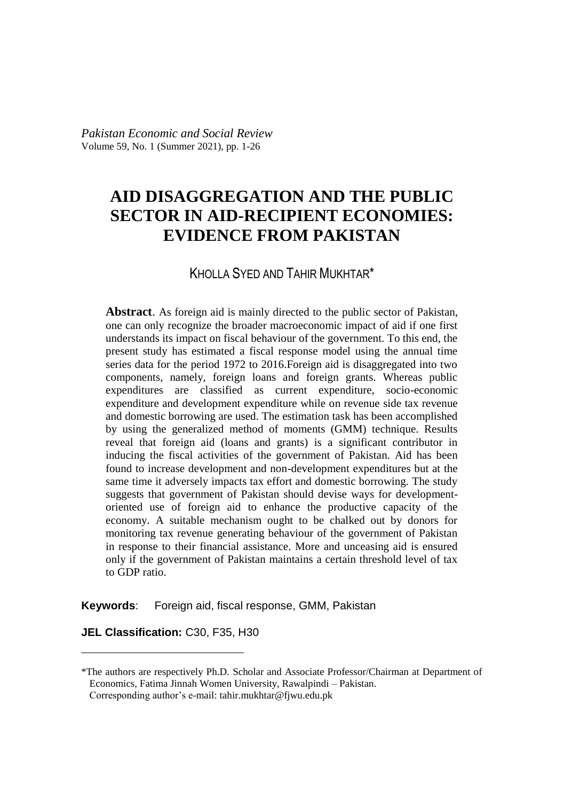*Pakistan Economic and Social Review* Volume 59, No. 1 (Summer 2021), pp. 1-26

# **AID DISAGGREGATION AND THE PUBLIC SECTOR IN AID-RECIPIENT ECONOMIES: EVIDENCE FROM PAKISTAN**

#### KHOLLA SYED AND TAHIR MUKHTAR<sup>\*</sup>

**Abstract**. As foreign aid is mainly directed to the public sector of Pakistan, one can only recognize the broader macroeconomic impact of aid if one first understands its impact on fiscal behaviour of the government. To this end, the present study has estimated a fiscal response model using the annual time series data for the period 1972 to 2016.Foreign aid is disaggregated into two components, namely, foreign loans and foreign grants. Whereas public expenditures are classified as current expenditure, socio-economic expenditure and development expenditure while on revenue side tax revenue and domestic borrowing are used. The estimation task has been accomplished by using the generalized method of moments (GMM) technique. Results reveal that foreign aid (loans and grants) is a significant contributor in inducing the fiscal activities of the government of Pakistan. Aid has been found to increase development and non-development expenditures but at the same time it adversely impacts tax effort and domestic borrowing. The study suggests that government of Pakistan should devise ways for developmentoriented use of foreign aid to enhance the productive capacity of the economy. A suitable mechanism ought to be chalked out by donors for monitoring tax revenue generating behaviour of the government of Pakistan in response to their financial assistance. More and unceasing aid is ensured only if the government of Pakistan maintains a certain threshold level of tax to GDP ratio.

**Keywords**: Foreign aid, fiscal response, GMM, Pakistan

**JEL Classification:** C30, F35, H30

<sup>\*</sup>The authors are respectively Ph.D. Scholar and Associate Professor/Chairman at Department of Economics, Fatima Jinnah Women University, Rawalpindi – Pakistan.

Corresponding author's e-mail: tahir.mukhtar@fjwu.edu.pk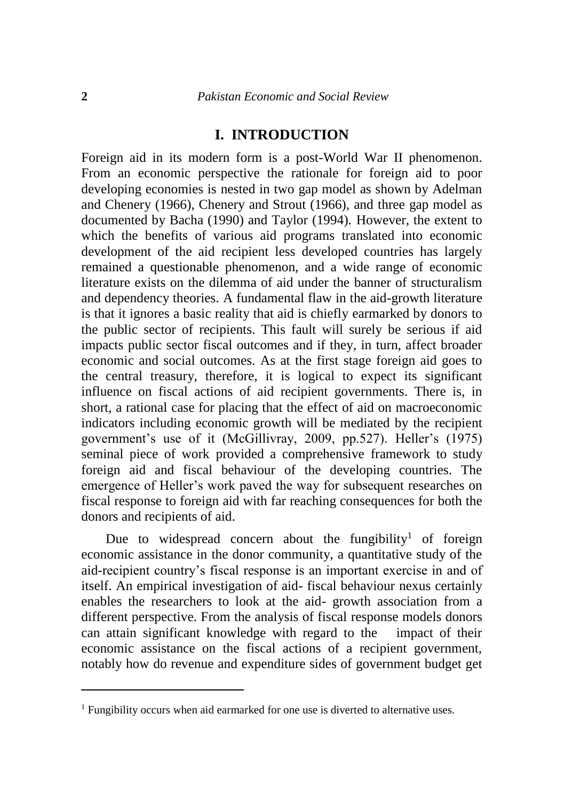### **I. INTRODUCTION**

Foreign aid in its modern form is a post-World War II phenomenon. From an economic perspective the rationale for foreign aid to poor developing economies is nested in two gap model as shown by Adelman and Chenery (1966), Chenery and Strout (1966), and three gap model as documented by Bacha (1990) and Taylor (1994). However, the extent to which the benefits of various aid programs translated into economic development of the aid recipient less developed countries has largely remained a questionable phenomenon, and a wide range of economic literature exists on the dilemma of aid under the banner of structuralism and dependency theories. A fundamental flaw in the aid-growth literature is that it ignores a basic reality that aid is chiefly earmarked by donors to the public sector of recipients. This fault will surely be serious if aid impacts public sector fiscal outcomes and if they, in turn, affect broader economic and social outcomes. As at the first stage foreign aid goes to the central treasury, therefore, it is logical to expect its significant influence on fiscal actions of aid recipient governments. There is, in short, a rational case for placing that the effect of aid on macroeconomic indicators including economic growth will be mediated by the recipient government's use of it (McGillivray, 2009, pp.527). Heller's (1975) seminal piece of work provided a comprehensive framework to study foreign aid and fiscal behaviour of the developing countries. The emergence of Heller's work paved the way for subsequent researches on fiscal response to foreign aid with far reaching consequences for both the donors and recipients of aid.

Due to widespread concern about the fungibility<sup>1</sup> of foreign economic assistance in the donor community, a quantitative study of the aid-recipient country's fiscal response is an important exercise in and of itself. An empirical investigation of aid- fiscal behaviour nexus certainly enables the researchers to look at the aid- growth association from a different perspective. From the analysis of fiscal response models donors can attain significant knowledge with regard to the impact of their economic assistance on the fiscal actions of a recipient government, notably how do revenue and expenditure sides of government budget get

<sup>&</sup>lt;sup>1</sup> Fungibility occurs when aid earmarked for one use is diverted to alternative uses.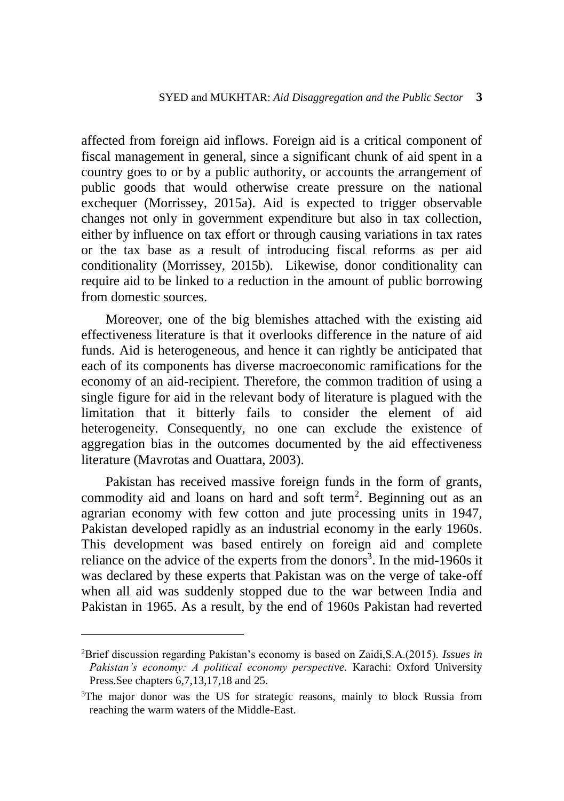affected from foreign aid inflows. Foreign aid is a critical component of fiscal management in general, since a significant chunk of aid spent in a country goes to or by a public authority, or accounts the arrangement of public goods that would otherwise create pressure on the national exchequer (Morrissey, 2015a). Aid is expected to trigger observable changes not only in government expenditure but also in tax collection, either by influence on tax effort or through causing variations in tax rates or the tax base as a result of introducing fiscal reforms as per aid conditionality (Morrissey, 2015b). Likewise, donor conditionality can require aid to be linked to a reduction in the amount of public borrowing from domestic sources.

Moreover, one of the big blemishes attached with the existing aid effectiveness literature is that it overlooks difference in the nature of aid funds. Aid is heterogeneous, and hence it can rightly be anticipated that each of its components has diverse macroeconomic ramifications for the economy of an aid-recipient. Therefore, the common tradition of using a single figure for aid in the relevant body of literature is plagued with the limitation that it bitterly fails to consider the element of aid heterogeneity. Consequently, no one can exclude the existence of aggregation bias in the outcomes documented by the aid effectiveness literature (Mavrotas and Ouattara, 2003).

Pakistan has received massive foreign funds in the form of grants, commodity aid and loans on hard and soft term<sup>2</sup>. Beginning out as an agrarian economy with few cotton and jute processing units in 1947, Pakistan developed rapidly as an industrial economy in the early 1960s. This development was based entirely on foreign aid and complete reliance on the advice of the experts from the donors<sup>3</sup>. In the mid-1960s it was declared by these experts that Pakistan was on the verge of take-off when all aid was suddenly stopped due to the war between India and Pakistan in 1965. As a result, by the end of 1960s Pakistan had reverted

<sup>2</sup>Brief discussion regarding Pakistan's economy is based on Zaidi,S.A.(2015). *[Issues in](https://ideas.repec.org/b/oxp/obooks/9780199401833.html)*  [Pakistan's economy: A political economy perspective.](https://ideas.repec.org/b/oxp/obooks/9780199401833.html) Karachi: Oxford University Press.See chapters 6,7,13,17,18 and 25.

<sup>&</sup>lt;sup>3</sup>The major donor was the US for strategic reasons, mainly to block Russia from reaching the warm waters of the Middle-East.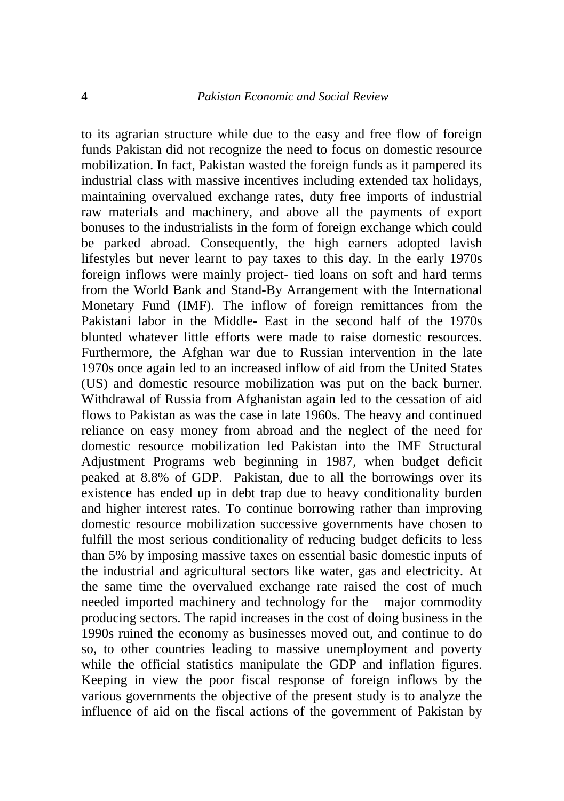to its agrarian structure while due to the easy and free flow of foreign funds Pakistan did not recognize the need to focus on domestic resource mobilization. In fact, Pakistan wasted the foreign funds as it pampered its industrial class with massive incentives including extended tax holidays, maintaining overvalued exchange rates, duty free imports of industrial raw materials and machinery, and above all the payments of export bonuses to the industrialists in the form of foreign exchange which could be parked abroad. Consequently, the high earners adopted lavish lifestyles but never learnt to pay taxes to this day. In the early 1970s foreign inflows were mainly project- tied loans on soft and hard terms from the World Bank and Stand-By Arrangement with the International Monetary Fund (IMF). The inflow of foreign remittances from the Pakistani labor in the Middle- East in the second half of the 1970s blunted whatever little efforts were made to raise domestic resources. Furthermore, the Afghan war due to Russian intervention in the late 1970s once again led to an increased inflow of aid from the United States (US) and domestic resource mobilization was put on the back burner. Withdrawal of Russia from Afghanistan again led to the cessation of aid flows to Pakistan as was the case in late 1960s. The heavy and continued reliance on easy money from abroad and the neglect of the need for domestic resource mobilization led Pakistan into the IMF Structural Adjustment Programs web beginning in 1987, when budget deficit peaked at 8.8% of GDP. Pakistan, due to all the borrowings over its existence has ended up in debt trap due to heavy conditionality burden and higher interest rates. To continue borrowing rather than improving domestic resource mobilization successive governments have chosen to fulfill the most serious conditionality of reducing budget deficits to less than 5% by imposing massive taxes on essential basic domestic inputs of the industrial and agricultural sectors like water, gas and electricity. At the same time the overvalued exchange rate raised the cost of much needed imported machinery and technology for the major commodity producing sectors. The rapid increases in the cost of doing business in the 1990s ruined the economy as businesses moved out, and continue to do so, to other countries leading to massive unemployment and poverty while the official statistics manipulate the GDP and inflation figures. Keeping in view the poor fiscal response of foreign inflows by the various governments the objective of the present study is to analyze the influence of aid on the fiscal actions of the government of Pakistan by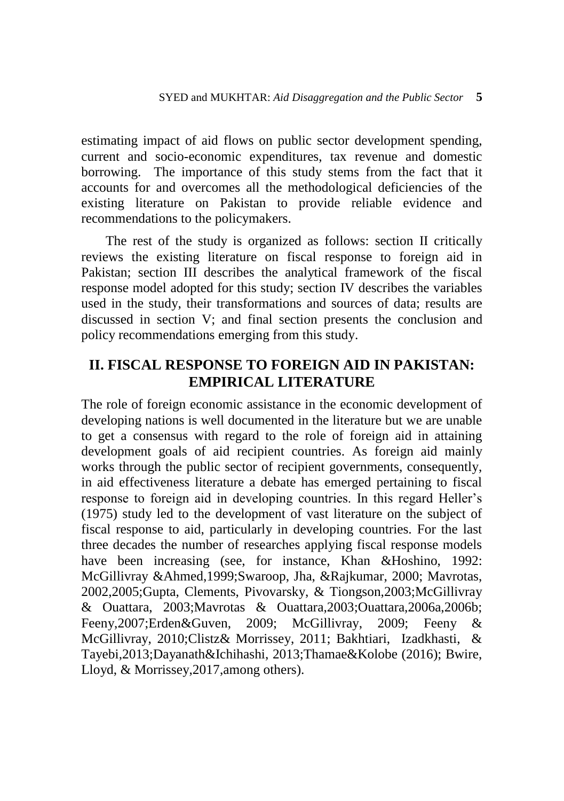estimating impact of aid flows on public sector development spending, current and socio-economic expenditures, tax revenue and domestic borrowing. The importance of this study stems from the fact that it accounts for and overcomes all the methodological deficiencies of the existing literature on Pakistan to provide reliable evidence and recommendations to the policymakers.

The rest of the study is organized as follows: section II critically reviews the existing literature on fiscal response to foreign aid in Pakistan; section III describes the analytical framework of the fiscal response model adopted for this study; section IV describes the variables used in the study, their transformations and sources of data; results are discussed in section V; and final section presents the conclusion and policy recommendations emerging from this study.

# **II. FISCAL RESPONSE TO FOREIGN AID IN PAKISTAN: EMPIRICAL LITERATURE**

The role of foreign economic assistance in the economic development of developing nations is well documented in the literature but we are unable to get a consensus with regard to the role of foreign aid in attaining development goals of aid recipient countries. As foreign aid mainly works through the public sector of recipient governments, consequently, in aid effectiveness literature a debate has emerged pertaining to fiscal response to foreign aid in developing countries. In this regard Heller's (1975) study led to the development of vast literature on the subject of fiscal response to aid, particularly in developing countries. For the last three decades the number of researches applying fiscal response models have been increasing (see, for instance, Khan &Hoshino, 1992: McGillivray &Ahmed,1999;Swaroop, Jha, &Rajkumar, 2000; Mavrotas, 2002,2005;Gupta, Clements, Pivovarsky, & Tiongson,2003;McGillivray & Ouattara, 2003;Mavrotas & Ouattara,2003;Ouattara,2006a,2006b; Feeny,2007;Erden&Guven, 2009; McGillivray, 2009; Feeny & McGillivray, 2010;Clistz& Morrissey, 2011; Bakhtiari, Izadkhasti, & Tayebi,2013;Dayanath&Ichihashi, 2013;Thamae&Kolobe (2016); Bwire, Lloyd, & Morrissey,2017,among others).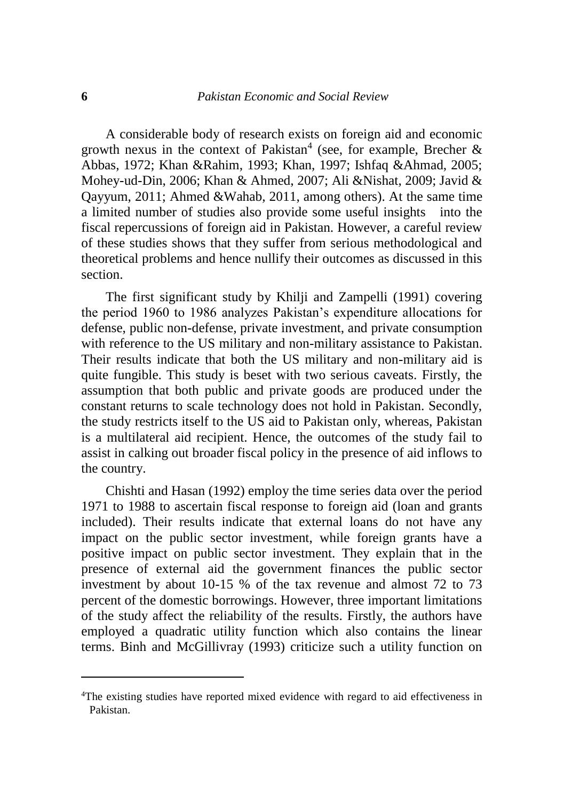A considerable body of research exists on foreign aid and economic growth nexus in the context of Pakistan<sup>4</sup> (see, for example, Brecher  $\&$ Abbas, 1972; Khan &Rahim, 1993; Khan, 1997; Ishfaq &Ahmad, 2005; Mohey-ud-Din, 2006; Khan & Ahmed, 2007; Ali &Nishat, 2009; Javid & Qayyum, 2011; Ahmed &Wahab, 2011, among others). At the same time a limited number of studies also provide some useful insights into the fiscal repercussions of foreign aid in Pakistan. However, a careful review of these studies shows that they suffer from serious methodological and theoretical problems and hence nullify their outcomes as discussed in this section.

The first significant study by Khilji and Zampelli (1991) covering the period 1960 to 1986 analyzes Pakistan's expenditure allocations for defense, public non-defense, private investment, and private consumption with reference to the US military and non-military assistance to Pakistan. Their results indicate that both the US military and non-military aid is quite fungible. This study is beset with two serious caveats. Firstly, the assumption that both public and private goods are produced under the constant returns to scale technology does not hold in Pakistan. Secondly, the study restricts itself to the US aid to Pakistan only, whereas, Pakistan is a multilateral aid recipient. Hence, the outcomes of the study fail to assist in calking out broader fiscal policy in the presence of aid inflows to the country.

Chishti and Hasan (1992) employ the time series data over the period 1971 to 1988 to ascertain fiscal response to foreign aid (loan and grants included). Their results indicate that external loans do not have any impact on the public sector investment, while foreign grants have a positive impact on public sector investment. They explain that in the presence of external aid the government finances the public sector investment by about 10-15 % of the tax revenue and almost 72 to 73 percent of the domestic borrowings. However, three important limitations of the study affect the reliability of the results. Firstly, the authors have employed a quadratic utility function which also contains the linear terms. Binh and McGillivray (1993) criticize such a utility function on

<sup>&</sup>lt;sup>4</sup>The existing studies have reported mixed evidence with regard to aid effectiveness in Pakistan.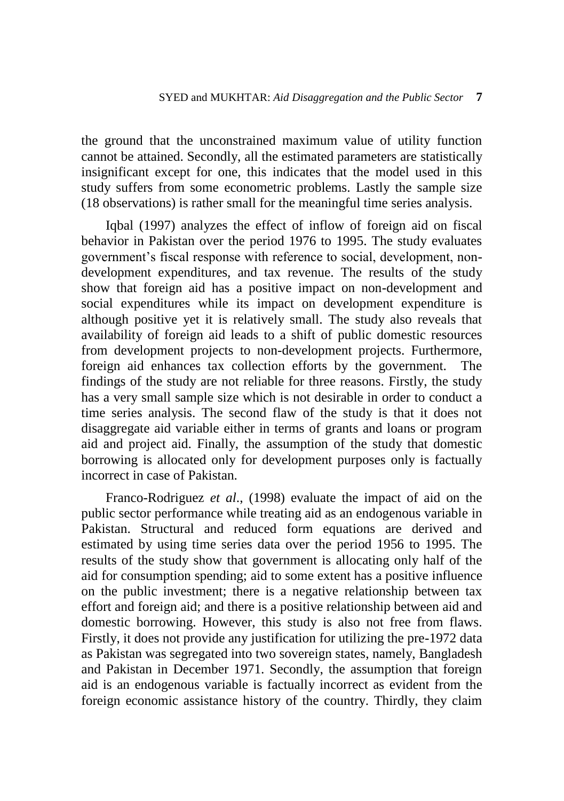the ground that the unconstrained maximum value of utility function cannot be attained. Secondly, all the estimated parameters are statistically insignificant except for one, this indicates that the model used in this study suffers from some econometric problems. Lastly the sample size (18 observations) is rather small for the meaningful time series analysis.

Iqbal (1997) analyzes the effect of inflow of foreign aid on fiscal behavior in Pakistan over the period 1976 to 1995. The study evaluates government's fiscal response with reference to social, development, nondevelopment expenditures, and tax revenue. The results of the study show that foreign aid has a positive impact on non-development and social expenditures while its impact on development expenditure is although positive yet it is relatively small. The study also reveals that availability of foreign aid leads to a shift of public domestic resources from development projects to non-development projects. Furthermore, foreign aid enhances tax collection efforts by the government. The findings of the study are not reliable for three reasons. Firstly, the study has a very small sample size which is not desirable in order to conduct a time series analysis. The second flaw of the study is that it does not disaggregate aid variable either in terms of grants and loans or program aid and project aid. Finally, the assumption of the study that domestic borrowing is allocated only for development purposes only is factually incorrect in case of Pakistan.

Franco-Rodriguez *et al*., (1998) evaluate the impact of aid on the public sector performance while treating aid as an endogenous variable in Pakistan. Structural and reduced form equations are derived and estimated by using time series data over the period 1956 to 1995. The results of the study show that government is allocating only half of the aid for consumption spending; aid to some extent has a positive influence on the public investment; there is a negative relationship between tax effort and foreign aid; and there is a positive relationship between aid and domestic borrowing. However, this study is also not free from flaws. Firstly, it does not provide any justification for utilizing the pre-1972 data as Pakistan was segregated into two sovereign states, namely, Bangladesh and Pakistan in December 1971. Secondly, the assumption that foreign aid is an endogenous variable is factually incorrect as evident from the foreign economic assistance history of the country. Thirdly, they claim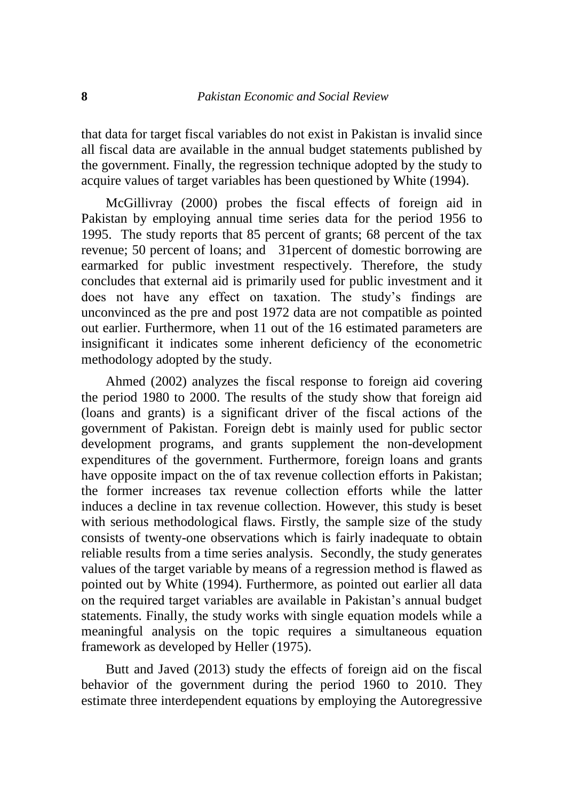that data for target fiscal variables do not exist in Pakistan is invalid since all fiscal data are available in the annual budget statements published by the government. Finally, the regression technique adopted by the study to acquire values of target variables has been questioned by White (1994).

McGillivray (2000) probes the fiscal effects of foreign aid in Pakistan by employing annual time series data for the period 1956 to 1995. The study reports that 85 percent of grants; 68 percent of the tax revenue; 50 percent of loans; and 31percent of domestic borrowing are earmarked for public investment respectively. Therefore, the study concludes that external aid is primarily used for public investment and it does not have any effect on taxation. The study's findings are unconvinced as the pre and post 1972 data are not compatible as pointed out earlier. Furthermore, when 11 out of the 16 estimated parameters are insignificant it indicates some inherent deficiency of the econometric methodology adopted by the study.

Ahmed (2002) analyzes the fiscal response to foreign aid covering the period 1980 to 2000. The results of the study show that foreign aid (loans and grants) is a significant driver of the fiscal actions of the government of Pakistan. Foreign debt is mainly used for public sector development programs, and grants supplement the non-development expenditures of the government. Furthermore, foreign loans and grants have opposite impact on the of tax revenue collection efforts in Pakistan; the former increases tax revenue collection efforts while the latter induces a decline in tax revenue collection. However, this study is beset with serious methodological flaws. Firstly, the sample size of the study consists of twenty-one observations which is fairly inadequate to obtain reliable results from a time series analysis. Secondly, the study generates values of the target variable by means of a regression method is flawed as pointed out by White (1994). Furthermore, as pointed out earlier all data on the required target variables are available in Pakistan's annual budget statements. Finally, the study works with single equation models while a meaningful analysis on the topic requires a simultaneous equation framework as developed by Heller (1975).

Butt and Javed (2013) study the effects of foreign aid on the fiscal behavior of the government during the period 1960 to 2010. They estimate three interdependent equations by employing the Autoregressive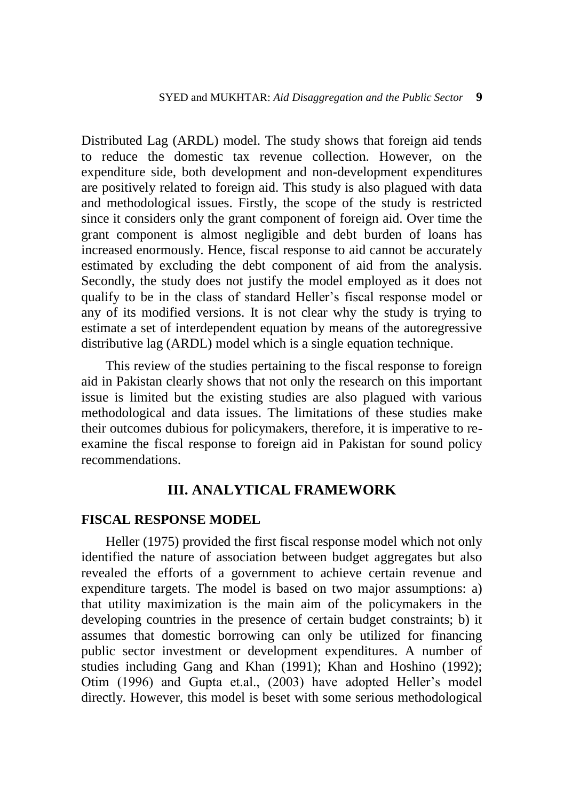Distributed Lag (ARDL) model. The study shows that foreign aid tends to reduce the domestic tax revenue collection. However, on the expenditure side, both development and non-development expenditures are positively related to foreign aid. This study is also plagued with data and methodological issues. Firstly, the scope of the study is restricted since it considers only the grant component of foreign aid. Over time the grant component is almost negligible and debt burden of loans has increased enormously. Hence, fiscal response to aid cannot be accurately estimated by excluding the debt component of aid from the analysis. Secondly, the study does not justify the model employed as it does not qualify to be in the class of standard Heller's fiscal response model or any of its modified versions. It is not clear why the study is trying to estimate a set of interdependent equation by means of the autoregressive distributive lag (ARDL) model which is a single equation technique.

This review of the studies pertaining to the fiscal response to foreign aid in Pakistan clearly shows that not only the research on this important issue is limited but the existing studies are also plagued with various methodological and data issues. The limitations of these studies make their outcomes dubious for policymakers, therefore, it is imperative to reexamine the fiscal response to foreign aid in Pakistan for sound policy recommendations.

# **III. ANALYTICAL FRAMEWORK**

#### **FISCAL RESPONSE MODEL**

Heller (1975) provided the first fiscal response model which not only identified the nature of association between budget aggregates but also revealed the efforts of a government to achieve certain revenue and expenditure targets. The model is based on two major assumptions: a) that utility maximization is the main aim of the policymakers in the developing countries in the presence of certain budget constraints; b) it assumes that domestic borrowing can only be utilized for financing public sector investment or development expenditures. A number of studies including Gang and Khan (1991); Khan and Hoshino (1992); Otim (1996) and Gupta et.al., (2003) have adopted Heller's model directly. However, this model is beset with some serious methodological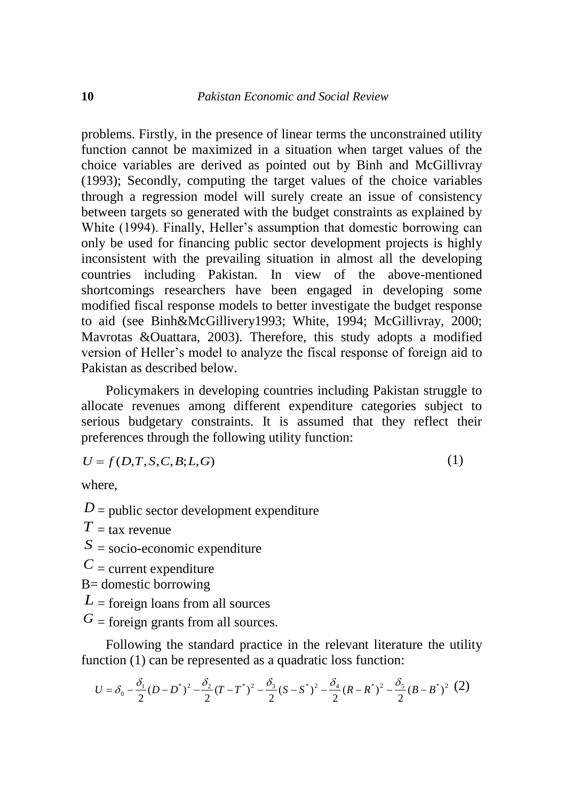problems. Firstly, in the presence of linear terms the unconstrained utility function cannot be maximized in a situation when target values of the choice variables are derived as pointed out by Binh and McGillivray (1993); Secondly, computing the target values of the choice variables through a regression model will surely create an issue of consistency between targets so generated with the budget constraints as explained by White (1994). Finally, Heller's assumption that domestic borrowing can only be used for financing public sector development projects is highly inconsistent with the prevailing situation in almost all the developing countries including Pakistan. In view of the above-mentioned shortcomings researchers have been engaged in developing some modified fiscal response models to better investigate the budget response to aid (see Binh&McGillivery1993; White, 1994; McGillivray, 2000; Mavrotas &Ouattara, 2003). Therefore, this study adopts a modified version of Heller's model to analyze the fiscal response of foreign aid to Pakistan as described below.

Policymakers in developing countries including Pakistan struggle to allocate revenues among different expenditure categories subject to serious budgetary constraints. It is assumed that they reflect their preferences through the following utility function:

$$
U = f(D, T, S, C, B; L, G)
$$

(1)

where,

 $D =$  public sector development expenditure

 $T = \text{tax revenue}$ 

*S* = socio-economic expenditure

 $C$  = current expenditure

B= domestic borrowing

 $L$  = foreign loans from all sources

 $G =$  foreign grants from all sources.

Following the standard practice in the relevant literature the utility function (1) can be represented as a quadratic loss function:

$$
U = \delta_0 - \frac{\delta_1}{2} (D - D^*)^2 - \frac{\delta_2}{2} (T - T^*)^2 - \frac{\delta_3}{2} (S - S^*)^2 - \frac{\delta_4}{2} (R - R^*)^2 - \frac{\delta_5}{2} (B - B^*)^2 (2)
$$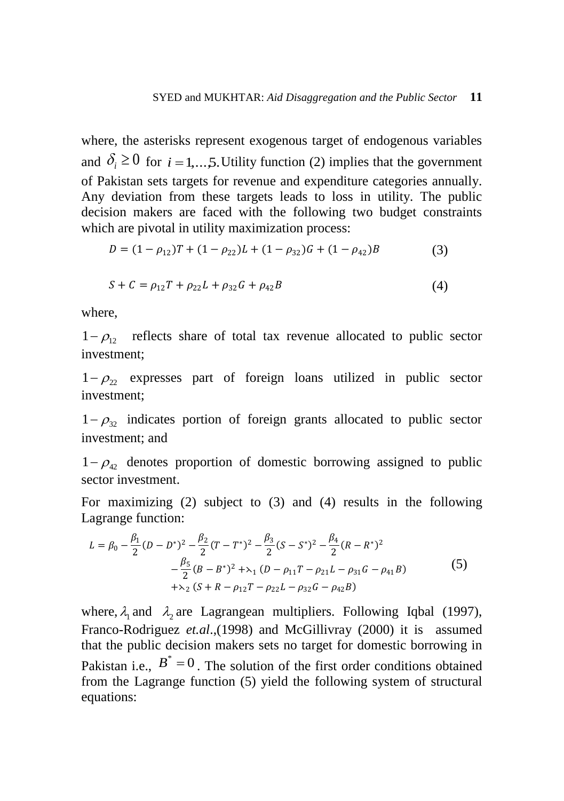where, the asterisks represent exogenous target of endogenous variables and  $\delta_i \geq 0$  for  $i = 1,...,5$ . Utility function (2) implies that the government of Pakistan sets targets for revenue and expenditure categories annually. Any deviation from these targets leads to loss in utility. The public decision makers are faced with the following two budget constraints which are pivotal in utility maximization process:

$$
D = (1 - \rho_{12})T + (1 - \rho_{22})L + (1 - \rho_{32})G + (1 - \rho_{42})B
$$
\n(3)

$$
S + C = \rho_{12}T + \rho_{22}L + \rho_{32}G + \rho_{42}B \tag{4}
$$

where,

 $1 - \rho_{12}$  reflects share of total tax revenue allocated to public sector investment;

 $1 - \rho_{22}$  expresses part of foreign loans utilized in public sector investment;

 $1 - \rho_{32}$  indicates portion of foreign grants allocated to public sector investment; and

 $1 - \rho_{42}$  denotes proportion of domestic borrowing assigned to public sector investment.

For maximizing (2) subject to (3) and (4) results in the following Lagrange function:

$$
L = \beta_0 - \frac{\beta_1}{2} (D - D^*)^2 - \frac{\beta_2}{2} (T - T^*)^2 - \frac{\beta_3}{2} (S - S^*)^2 - \frac{\beta_4}{2} (R - R^*)^2 - \frac{\beta_5}{2} (B - B^*)^2 + \lambda_1 (D - \rho_{11} T - \rho_{21} L - \rho_{31} G - \rho_{41} B) + \lambda_2 (S + R - \rho_{12} T - \rho_{22} L - \rho_{32} G - \rho_{42} B)
$$
\n
$$
(5)
$$

where,  $\lambda_1$  and  $\lambda_2$  are Lagrangean multipliers. Following Iqbal (1997), Franco-Rodriguez *et.al*.,(1998) and McGillivray (2000) it is assumed that the public decision makers sets no target for domestic borrowing in Pakistan i.e.,  $B^* = 0$ . The solution of the first order conditions obtained from the Lagrange function (5) yield the following system of structural equations: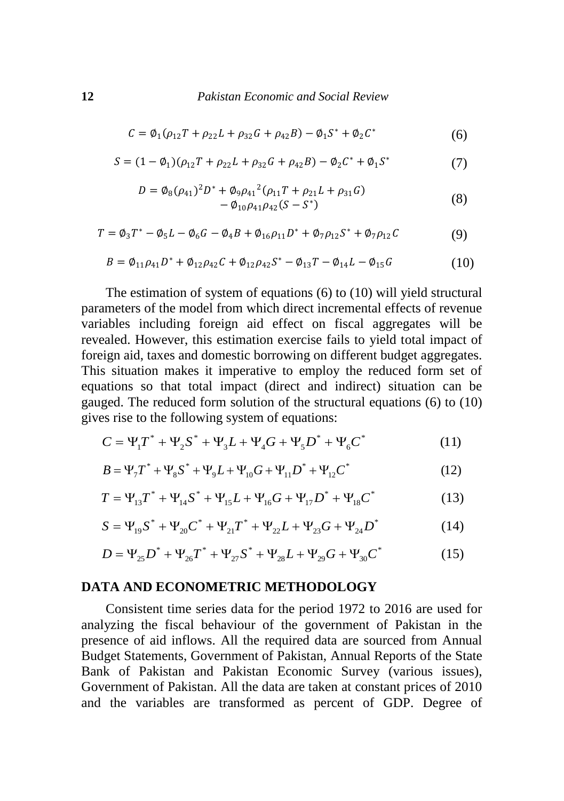$$
C = \emptyset_1(\rho_{12}T + \rho_{22}L + \rho_{32}G + \rho_{42}B) - \emptyset_1S^* + \emptyset_2C^*
$$
 (6)

$$
S = (1 - \phi_1)(\rho_{12}T + \rho_{22}L + \rho_{32}G + \rho_{42}B) - \phi_2C^* + \phi_1S^*
$$
 (7)

$$
D = \phi_8(\rho_{41})^2 D^* + \phi_9 \rho_{41}^2 (\rho_{11} T + \rho_{21} L + \rho_{31} G) - \phi_{10} \rho_{41} \rho_{42} (S - S^*)
$$
 (8)

$$
T = \phi_3 T^* - \phi_5 L - \phi_6 G - \phi_4 B + \phi_{16} \rho_{11} D^* + \phi_7 \rho_{12} S^* + \phi_7 \rho_{12} C \tag{9}
$$

$$
B = \phi_{11}\rho_{41}D^* + \phi_{12}\rho_{42}C + \phi_{12}\rho_{42}S^* - \phi_{13}T - \phi_{14}L - \phi_{15}G \tag{10}
$$

The estimation of system of equations (6) to (10) will yield structural parameters of the model from which direct incremental effects of revenue variables including foreign aid effect on fiscal aggregates will be revealed. However, this estimation exercise fails to yield total impact of foreign aid, taxes and domestic borrowing on different budget aggregates. This situation makes it imperative to employ the reduced form set of equations so that total impact (direct and indirect) situation can be gauged. The reduced form solution of the structural equations (6) to (10) gives rise to the following system of equations:

$$
C = \Psi_1 T^* + \Psi_2 S^* + \Psi_3 L + \Psi_4 G + \Psi_5 D^* + \Psi_6 C^* \tag{11}
$$

$$
B = \Psi_7 T^* + \Psi_8 S^* + \Psi_9 L + \Psi_{10} G + \Psi_{11} D^* + \Psi_{12} C^*
$$
 (12)

$$
T = \Psi_{13}T^* + \Psi_{14}S^* + \Psi_{15}L + \Psi_{16}G + \Psi_{17}D^* + \Psi_{18}C^*
$$
 (13)

$$
S = \Psi_{19} S^* + \Psi_{20} C^* + \Psi_{21} T^* + \Psi_{22} L + \Psi_{23} G + \Psi_{24} D^* \tag{14}
$$

$$
D = \Psi_{25} D^* + \Psi_{26} T^* + \Psi_{27} S^* + \Psi_{28} L + \Psi_{29} G + \Psi_{30} C^*
$$
 (15)

#### **DATA AND ECONOMETRIC METHODOLOGY**

Consistent time series data for the period 1972 to 2016 are used for analyzing the fiscal behaviour of the government of Pakistan in the presence of aid inflows. All the required data are sourced from Annual Budget Statements, Government of Pakistan, Annual Reports of the State Bank of Pakistan and Pakistan Economic Survey (various issues), Government of Pakistan. All the data are taken at constant prices of 2010 and the variables are transformed as percent of GDP. Degree of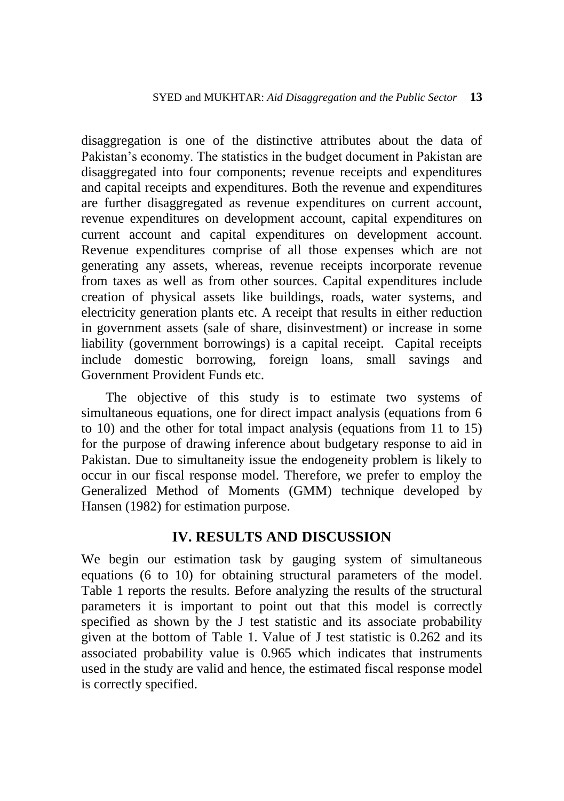disaggregation is one of the distinctive attributes about the data of Pakistan's economy. The statistics in the budget document in Pakistan are disaggregated into four components; revenue receipts and expenditures and capital receipts and expenditures. Both the revenue and expenditures are further disaggregated as revenue expenditures on current account, revenue expenditures on development account, capital expenditures on current account and capital expenditures on development account. Revenue expenditures comprise of all those expenses which are not generating any assets, whereas, revenue receipts incorporate revenue from taxes as well as from other sources. Capital expenditures include creation of physical assets like buildings, roads, water systems, and electricity generation plants etc. A receipt that results in either reduction in government assets (sale of share, disinvestment) or increase in some liability (government borrowings) is a capital receipt. Capital receipts include domestic borrowing, foreign loans, small savings and Government Provident Funds etc.

The objective of this study is to estimate two systems of simultaneous equations, one for direct impact analysis (equations from 6 to 10) and the other for total impact analysis (equations from 11 to 15) for the purpose of drawing inference about budgetary response to aid in Pakistan. Due to simultaneity issue the endogeneity problem is likely to occur in our fiscal response model. Therefore, we prefer to employ the Generalized Method of Moments (GMM) technique developed by Hansen (1982) for estimation purpose.

# **IV. RESULTS AND DISCUSSION**

We begin our estimation task by gauging system of simultaneous equations (6 to 10) for obtaining structural parameters of the model. Table 1 reports the results. Before analyzing the results of the structural parameters it is important to point out that this model is correctly specified as shown by the J test statistic and its associate probability given at the bottom of Table 1. Value of J test statistic is 0.262 and its associated probability value is 0.965 which indicates that instruments used in the study are valid and hence, the estimated fiscal response model is correctly specified.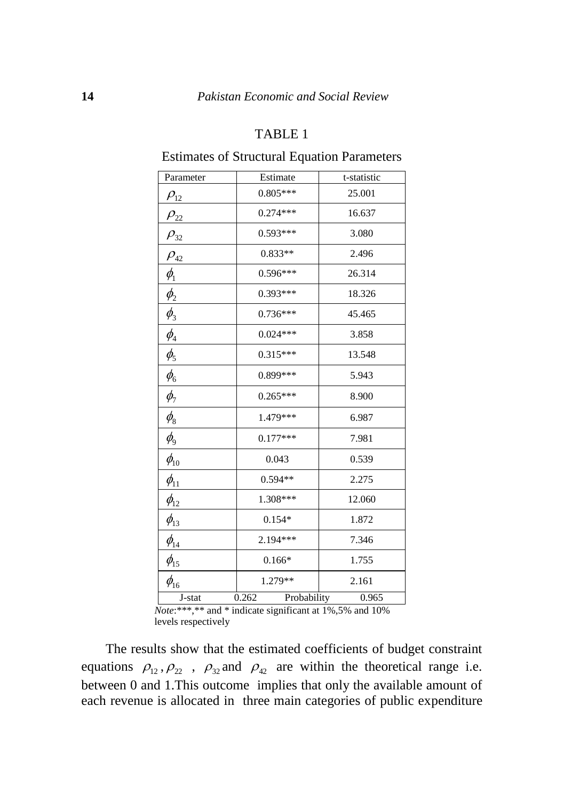#### TABLE 1

#### Estimates of Structural Equation Parameters

| Parameter                          | Estimate             | t-statistic |
|------------------------------------|----------------------|-------------|
| $\rho_{12}$                        | $0.805***$           | 25.001      |
| $\rho_{22}$                        | $0.274***$           | 16.637      |
| $\rho_{32}$                        | $0.593***$           | 3.080       |
| $\rho_{42}$                        | $0.833**$            | 2.496       |
| $\phi_{\!\scriptscriptstyle 1}$    | $0.596***$           | 26.314      |
| $\phi_{2}$                         | $0.393***$           | 18.326      |
| $\phi_{3}$                         | $0.736***$           | 45.465      |
| $\phi_{\scriptscriptstyle 4}$      | $0.024***$           | 3.858       |
| $\phi_{5}$                         | $0.315***$           | 13.548      |
| $\phi_{\scriptscriptstyle 6}$      | 0.899***             | 5.943       |
| $\phi_{7}$                         | $0.265***$           | 8.900       |
| $\phi_{\scriptscriptstyle 8}$      | 1.479***             | 6.987       |
| $\phi_{\!\scriptscriptstyle\beta}$ | $0.177***$           | 7.981       |
| $\phi_{\scriptscriptstyle 10}^{}$  | 0.043                | 0.539       |
| $\phi_{11}$                        | $0.594**$            | 2.275       |
| $\phi_{12}$                        | 1.308***             | 12.060      |
| $\phi_{13}$                        | $0.154*$             | 1.872       |
| $\phi_{\scriptscriptstyle{14}}$    | 2.194***             | 7.346       |
| $\phi_{15}$                        | $0.166*$             | 1.755       |
| $\phi_{16}$                        | 1.279**              | 2.161       |
| J-stat                             | 0.262<br>Probability | 0.965       |

*Note*:\*\*\*,\*\* and \* indicate significant at 1%,5% and 10% levels respectively

The results show that the estimated coefficients of budget constraint equations  $\rho_{12}, \rho_{22}$ ,  $\rho_{32}$  and  $\rho_{42}$  are within the theoretical range i.e. between 0 and 1.This outcome implies that only the available amount of each revenue is allocated in three main categories of public expenditure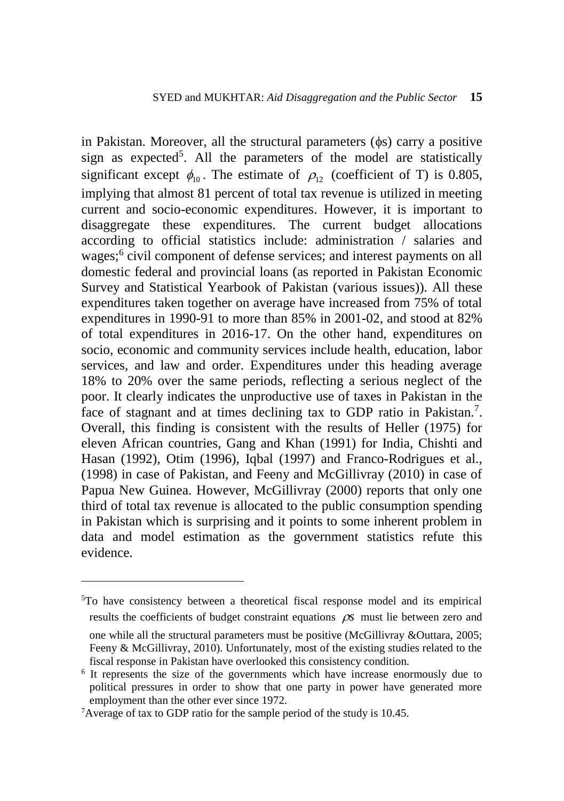in Pakistan. Moreover, all the structural parameters  $(\phi s)$  carry a positive sign as expected<sup>5</sup>. All the parameters of the model are statistically significant except  $\phi_{10}$ . The estimate of  $\rho_{12}$  (coefficient of T) is 0.805, implying that almost 81 percent of total tax revenue is utilized in meeting current and socio-economic expenditures. However, it is important to disaggregate these expenditures. The current budget allocations according to official statistics include: administration / salaries and wages;<sup>6</sup> civil component of defense services; and interest payments on all domestic federal and provincial loans (as reported in Pakistan Economic Survey and Statistical Yearbook of Pakistan (various issues)). All these expenditures taken together on average have increased from 75% of total expenditures in 1990-91 to more than 85% in 2001-02, and stood at 82% of total expenditures in 2016-17. On the other hand, expenditures on socio, economic and community services include health, education, labor services, and law and order. Expenditures under this heading average 18% to 20% over the same periods, reflecting a serious neglect of the poor. It clearly indicates the unproductive use of taxes in Pakistan in the face of stagnant and at times declining tax to GDP ratio in Pakistan.<sup>7</sup>. Overall, this finding is consistent with the results of Heller (1975) for eleven African countries, Gang and Khan (1991) for India, Chishti and Hasan (1992), Otim (1996), Iqbal (1997) and Franco-Rodrigues et al., (1998) in case of Pakistan, and Feeny and McGillivray (2010) in case of Papua New Guinea. However, McGillivray (2000) reports that only one third of total tax revenue is allocated to the public consumption spending in Pakistan which is surprising and it points to some inherent problem in data and model estimation as the government statistics refute this evidence.

<sup>5</sup>To have consistency between a theoretical fiscal response model and its empirical results the coefficients of budget constraint equations  $\rho s$  must lie between zero and

one while all the structural parameters must be positive (McGillivray &Outtara, 2005; Feeny & McGillivray, 2010). Unfortunately, most of the existing studies related to the fiscal response in Pakistan have overlooked this consistency condition.

<sup>&</sup>lt;sup>6</sup> It represents the size of the governments which have increase enormously due to political pressures in order to show that one party in power have generated more employment than the other ever since 1972.

<sup>7</sup>Average of tax to GDP ratio for the sample period of the study is 10.45.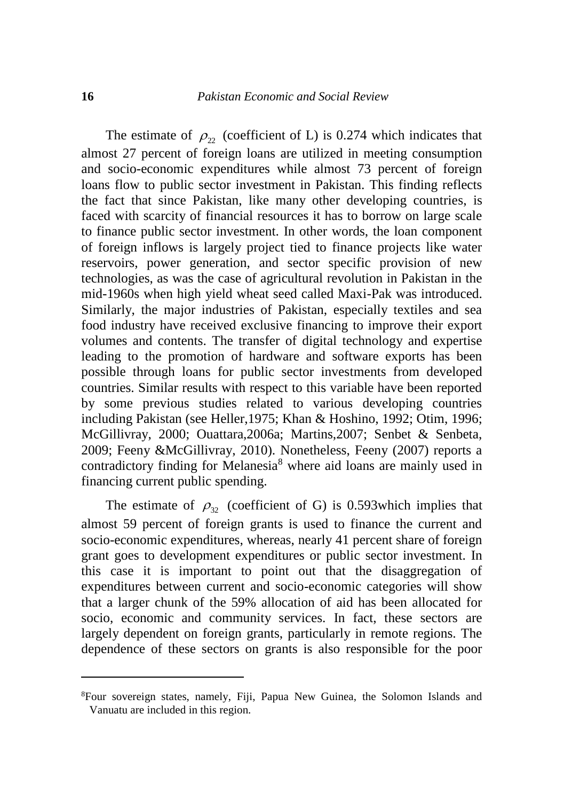The estimate of  $\rho_{22}$  (coefficient of L) is 0.274 which indicates that almost 27 percent of foreign loans are utilized in meeting consumption and socio-economic expenditures while almost 73 percent of foreign loans flow to public sector investment in Pakistan. This finding reflects the fact that since Pakistan, like many other developing countries, is faced with scarcity of financial resources it has to borrow on large scale to finance public sector investment. In other words, the loan component of foreign inflows is largely project tied to finance projects like water reservoirs, power generation, and sector specific provision of new technologies, as was the case of agricultural revolution in Pakistan in the mid-1960s when high yield wheat seed called Maxi-Pak was introduced. Similarly, the major industries of Pakistan, especially textiles and sea food industry have received exclusive financing to improve their export volumes and contents. The transfer of digital technology and expertise leading to the promotion of hardware and software exports has been possible through loans for public sector investments from developed countries. Similar results with respect to this variable have been reported by some previous studies related to various developing countries including Pakistan (see Heller,1975; Khan & Hoshino, 1992; Otim, 1996; McGillivray, 2000; Ouattara,2006a; Martins,2007; Senbet & Senbeta, 2009; Feeny &McGillivray, 2010). Nonetheless, Feeny (2007) reports a contradictory finding for Melanesia<sup>8</sup> where aid loans are mainly used in financing current public spending.

The estimate of  $\rho_{32}$  (coefficient of G) is 0.593 which implies that almost 59 percent of foreign grants is used to finance the current and socio-economic expenditures, whereas, nearly 41 percent share of foreign grant goes to development expenditures or public sector investment. In this case it is important to point out that the disaggregation of expenditures between current and socio-economic categories will show that a larger chunk of the 59% allocation of aid has been allocated for socio, economic and community services. In fact, these sectors are largely dependent on foreign grants, particularly in remote regions. The dependence of these sectors on grants is also responsible for the poor

<sup>8</sup>Four sovereign states, namely, Fiji, Papua New Guinea, the Solomon Islands and Vanuatu are included in this region.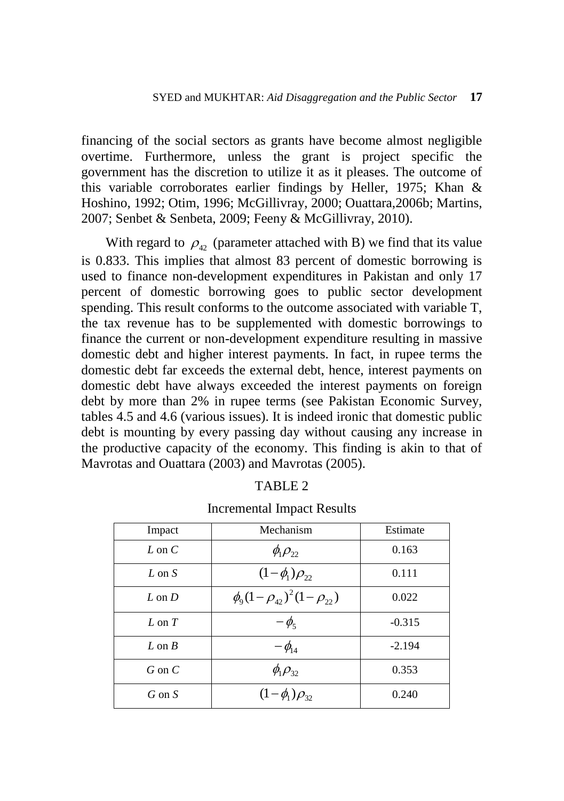financing of the social sectors as grants have become almost negligible overtime. Furthermore, unless the grant is project specific the government has the discretion to utilize it as it pleases. The outcome of this variable corroborates earlier findings by Heller, 1975; Khan & Hoshino, 1992; Otim, 1996; McGillivray, 2000; Ouattara,2006b; Martins, 2007; Senbet & Senbeta, 2009; Feeny & McGillivray, 2010).

With regard to  $\rho_{42}$  (parameter attached with B) we find that its value is 0.833. This implies that almost 83 percent of domestic borrowing is used to finance non-development expenditures in Pakistan and only 17 percent of domestic borrowing goes to public sector development spending. This result conforms to the outcome associated with variable T, the tax revenue has to be supplemented with domestic borrowings to finance the current or non-development expenditure resulting in massive domestic debt and higher interest payments. In fact, in rupee terms the domestic debt far exceeds the external debt, hence, interest payments on domestic debt have always exceeded the interest payments on foreign debt by more than 2% in rupee terms (see Pakistan Economic Survey, tables 4.5 and 4.6 (various issues). It is indeed ironic that domestic public debt is mounting by every passing day without causing any increase in the productive capacity of the economy. This finding is akin to that of Mavrotas and Ouattara (2003) and Mavrotas (2005).

| υ<br>ABI<br>L |  |
|---------------|--|
|---------------|--|

| Impact     | Mechanism                            | Estimate |
|------------|--------------------------------------|----------|
| $L$ on $C$ | $\phi_1 \rho_{22}$                   | 0.163    |
| $L$ on $S$ | $(1-\phi_1)\rho_{22}$                | 0.111    |
| $L \non D$ | $\phi_9(1-\rho_{42})^2(1-\rho_{22})$ | 0.022    |
| $L$ on $T$ | $-\phi_{5}$                          | $-0.315$ |
| L on $B$   | $-\phi_{14}$                         | $-2.194$ |
| $G$ on $C$ | $\phi_1 \rho_{32}$                   | 0.353    |
| $G$ on $S$ | $(1 - \phi_1)\rho_{32}$              | 0.240    |

#### Incremental Impact Results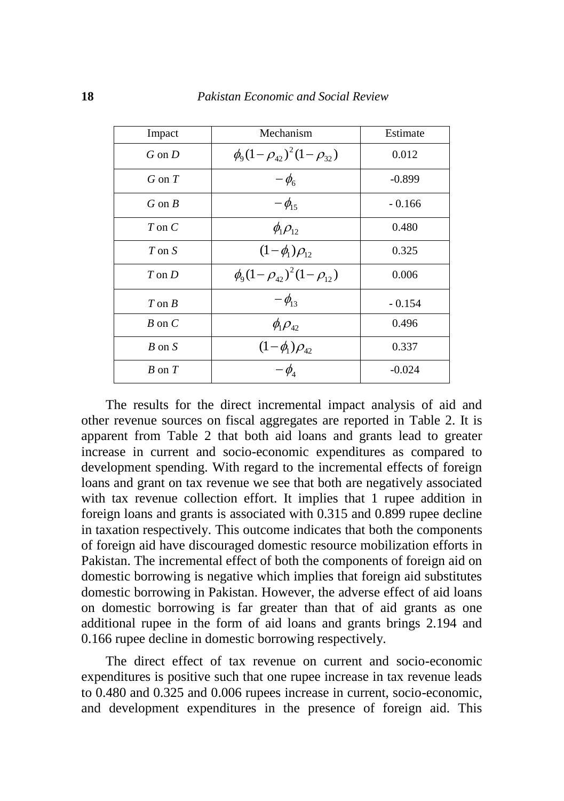| Impact        | Mechanism                            | Estimate |
|---------------|--------------------------------------|----------|
| $G$ on $D$    | $\phi_0(1-\rho_{42})^2(1-\rho_{32})$ | 0.012    |
| $G$ on $T$    | $-\phi_{6}$                          | $-0.899$ |
| $G$ on $B$    | $-\phi_{15}$                         | $-0.166$ |
| $T$ on $C$    | $\phi_1 \rho_{12}$                   | 0.480    |
| $T$ on $S$    | $(1-\phi_1)\rho_{12}$                | 0.325    |
| $T \circ n D$ | $\phi_0(1-\rho_{42})^2(1-\rho_{12})$ | 0.006    |
| $T \circ R$   | $-\phi_{13}$                         | $-0.154$ |
| $B$ on $C$    | $\phi_1 \rho_{42}$                   | 0.496    |
| $B$ on $S$    | $(1-\phi_1)\rho_{\alpha}$            | 0.337    |
| $B$ on $T$    | - $\phi_{\scriptscriptstyle\! A}$    | $-0.024$ |

The results for the direct incremental impact analysis of aid and other revenue sources on fiscal aggregates are reported in Table 2. It is apparent from Table 2 that both aid loans and grants lead to greater increase in current and socio-economic expenditures as compared to development spending. With regard to the incremental effects of foreign loans and grant on tax revenue we see that both are negatively associated with tax revenue collection effort. It implies that 1 rupee addition in foreign loans and grants is associated with 0.315 and 0.899 rupee decline in taxation respectively. This outcome indicates that both the components of foreign aid have discouraged domestic resource mobilization efforts in Pakistan. The incremental effect of both the components of foreign aid on domestic borrowing is negative which implies that foreign aid substitutes domestic borrowing in Pakistan. However, the adverse effect of aid loans on domestic borrowing is far greater than that of aid grants as one additional rupee in the form of aid loans and grants brings 2.194 and 0.166 rupee decline in domestic borrowing respectively.

The direct effect of tax revenue on current and socio-economic expenditures is positive such that one rupee increase in tax revenue leads to 0.480 and 0.325 and 0.006 rupees increase in current, socio-economic, and development expenditures in the presence of foreign aid. This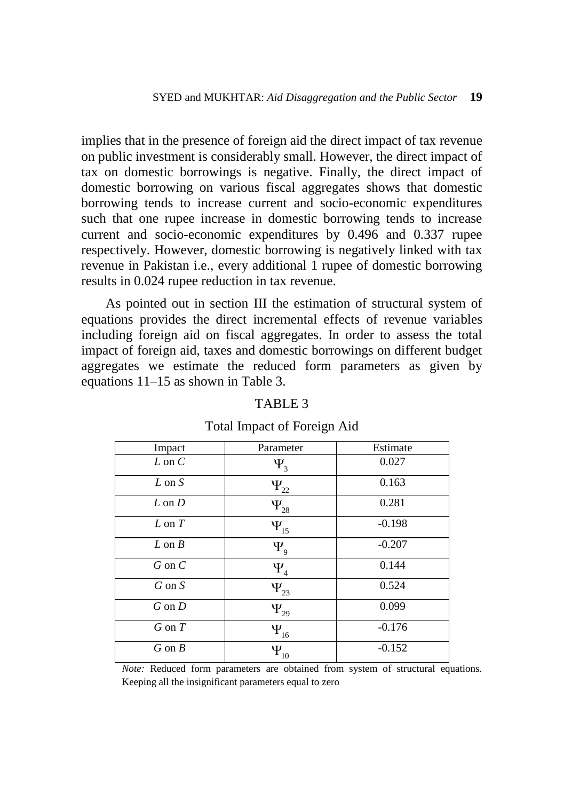implies that in the presence of foreign aid the direct impact of tax revenue on public investment is considerably small. However, the direct impact of tax on domestic borrowings is negative. Finally, the direct impact of domestic borrowing on various fiscal aggregates shows that domestic borrowing tends to increase current and socio-economic expenditures such that one rupee increase in domestic borrowing tends to increase current and socio-economic expenditures by 0.496 and 0.337 rupee respectively. However, domestic borrowing is negatively linked with tax revenue in Pakistan i.e., every additional 1 rupee of domestic borrowing results in 0.024 rupee reduction in tax revenue.

As pointed out in section III the estimation of structural system of equations provides the direct incremental effects of revenue variables including foreign aid on fiscal aggregates. In order to assess the total impact of foreign aid, taxes and domestic borrowings on different budget aggregates we estimate the reduced form parameters as given by equations 11–15 as shown in Table 3.

| Impact            | Parameter   | Estimate |
|-------------------|-------------|----------|
| $L$ on $C$        | $\Psi_3$    | 0.027    |
| $L \text{ on } S$ | $\Psi_{22}$ | 0.163    |
| $L \text{ on } D$ | $\Psi_{28}$ | 0.281    |
| $L \text{ on } T$ | $\Psi_{15}$ | $-0.198$ |
| $L \non B$        | $\Psi_{9}$  | $-0.207$ |
| $G$ on $C$        | $\Psi_4$    | 0.144    |
| $G$ on $S$        | $\Psi_{23}$ | 0.524    |
| $G$ on $D$        | $\Psi_{29}$ | 0.099    |
| $G$ on $T$        | $\Psi_{16}$ | $-0.176$ |
| $G$ on $B$        | $\Psi_{10}$ | $-0.152$ |

# TABLE 3

#### Total Impact of Foreign Aid

*Note:* Reduced form parameters are obtained from system of structural equations. Keeping all the insignificant parameters equal to zero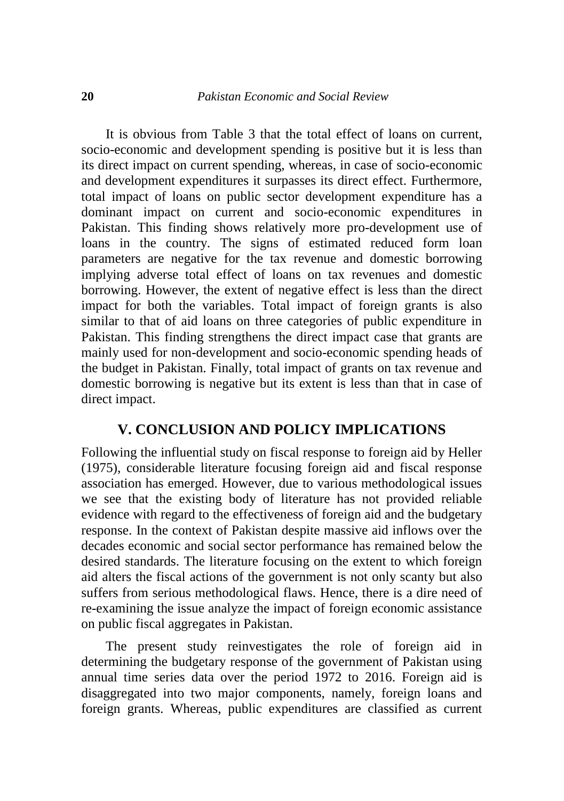It is obvious from Table 3 that the total effect of loans on current, socio-economic and development spending is positive but it is less than its direct impact on current spending, whereas, in case of socio-economic and development expenditures it surpasses its direct effect. Furthermore, total impact of loans on public sector development expenditure has a dominant impact on current and socio-economic expenditures in Pakistan. This finding shows relatively more pro-development use of loans in the country. The signs of estimated reduced form loan parameters are negative for the tax revenue and domestic borrowing implying adverse total effect of loans on tax revenues and domestic borrowing. However, the extent of negative effect is less than the direct impact for both the variables. Total impact of foreign grants is also similar to that of aid loans on three categories of public expenditure in Pakistan. This finding strengthens the direct impact case that grants are mainly used for non-development and socio-economic spending heads of the budget in Pakistan. Finally, total impact of grants on tax revenue and domestic borrowing is negative but its extent is less than that in case of direct impact.

#### **V. CONCLUSION AND POLICY IMPLICATIONS**

Following the influential study on fiscal response to foreign aid by Heller (1975), considerable literature focusing foreign aid and fiscal response association has emerged. However, due to various methodological issues we see that the existing body of literature has not provided reliable evidence with regard to the effectiveness of foreign aid and the budgetary response. In the context of Pakistan despite massive aid inflows over the decades economic and social sector performance has remained below the desired standards. The literature focusing on the extent to which foreign aid alters the fiscal actions of the government is not only scanty but also suffers from serious methodological flaws. Hence, there is a dire need of re-examining the issue analyze the impact of foreign economic assistance on public fiscal aggregates in Pakistan.

The present study reinvestigates the role of foreign aid in determining the budgetary response of the government of Pakistan using annual time series data over the period 1972 to 2016. Foreign aid is disaggregated into two major components, namely, foreign loans and foreign grants. Whereas, public expenditures are classified as current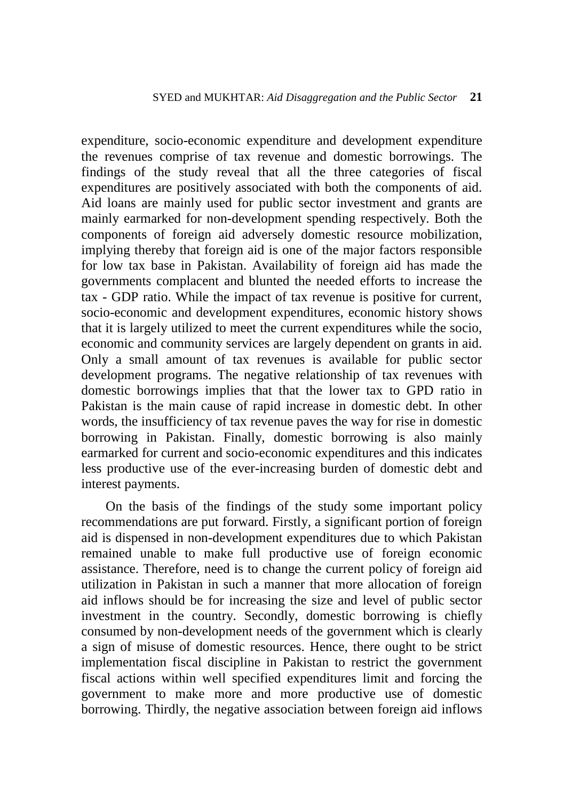expenditure, socio-economic expenditure and development expenditure the revenues comprise of tax revenue and domestic borrowings. The findings of the study reveal that all the three categories of fiscal expenditures are positively associated with both the components of aid. Aid loans are mainly used for public sector investment and grants are mainly earmarked for non-development spending respectively. Both the components of foreign aid adversely domestic resource mobilization, implying thereby that foreign aid is one of the major factors responsible for low tax base in Pakistan. Availability of foreign aid has made the governments complacent and blunted the needed efforts to increase the tax - GDP ratio. While the impact of tax revenue is positive for current, socio-economic and development expenditures, economic history shows that it is largely utilized to meet the current expenditures while the socio, economic and community services are largely dependent on grants in aid. Only a small amount of tax revenues is available for public sector development programs. The negative relationship of tax revenues with domestic borrowings implies that that the lower tax to GPD ratio in Pakistan is the main cause of rapid increase in domestic debt. In other words, the insufficiency of tax revenue paves the way for rise in domestic borrowing in Pakistan. Finally, domestic borrowing is also mainly earmarked for current and socio-economic expenditures and this indicates less productive use of the ever-increasing burden of domestic debt and interest payments.

On the basis of the findings of the study some important policy recommendations are put forward. Firstly, a significant portion of foreign aid is dispensed in non-development expenditures due to which Pakistan remained unable to make full productive use of foreign economic assistance. Therefore, need is to change the current policy of foreign aid utilization in Pakistan in such a manner that more allocation of foreign aid inflows should be for increasing the size and level of public sector investment in the country. Secondly, domestic borrowing is chiefly consumed by non-development needs of the government which is clearly a sign of misuse of domestic resources. Hence, there ought to be strict implementation fiscal discipline in Pakistan to restrict the government fiscal actions within well specified expenditures limit and forcing the government to make more and more productive use of domestic borrowing. Thirdly, the negative association between foreign aid inflows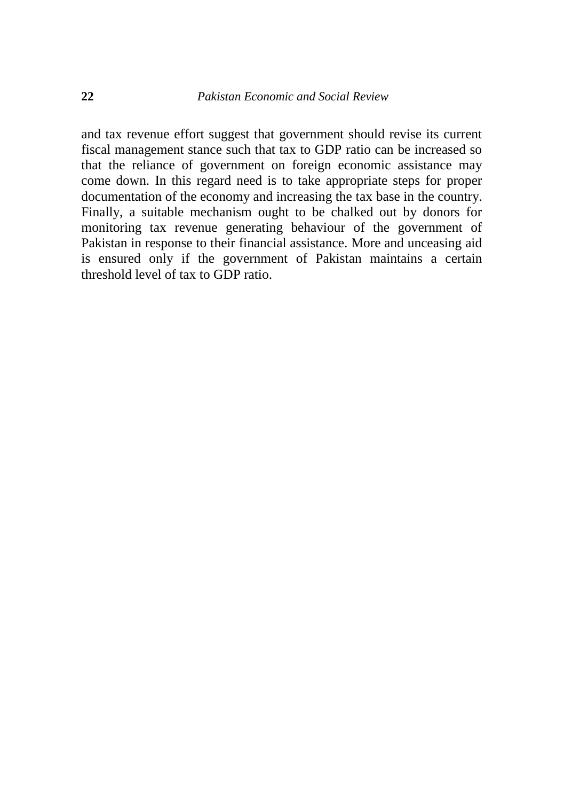and tax revenue effort suggest that government should revise its current fiscal management stance such that tax to GDP ratio can be increased so that the reliance of government on foreign economic assistance may come down. In this regard need is to take appropriate steps for proper documentation of the economy and increasing the tax base in the country. Finally, a suitable mechanism ought to be chalked out by donors for monitoring tax revenue generating behaviour of the government of Pakistan in response to their financial assistance. More and unceasing aid is ensured only if the government of Pakistan maintains a certain threshold level of tax to GDP ratio.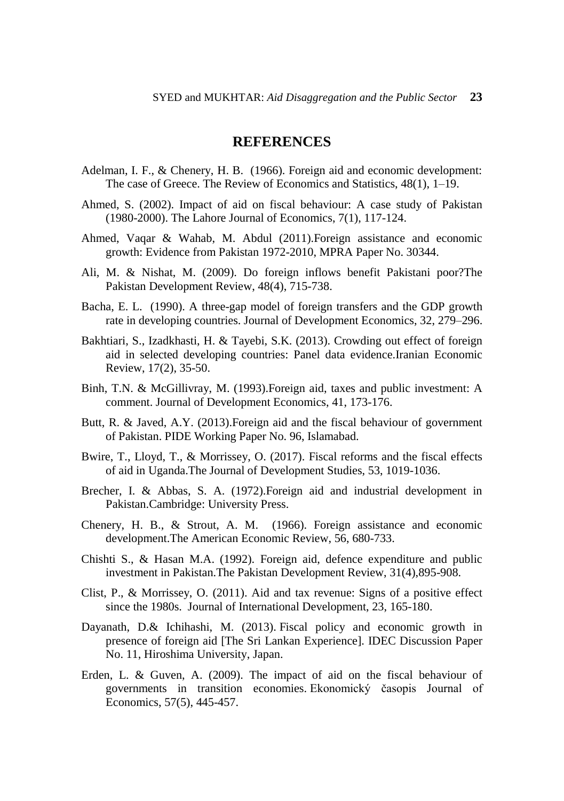#### **REFERENCES**

- Adelman, I. F., & Chenery, H. B. (1966). Foreign aid and economic development: The case of Greece. The Review of Economics and Statistics, 48(1), 1–19.
- Ahmed, S. (2002). Impact of aid on fiscal behaviour: A case study of Pakistan (1980-2000). The Lahore Journal of Economics, 7(1), 117-124.
- Ahmed, Vaqar & Wahab, M. Abdul (2011).Foreign assistance and economic growth: Evidence from Pakistan 1972-2010, MPRA Paper No. 30344.
- Ali, M. & Nishat, M. (2009). Do foreign inflows benefit Pakistani poor?The Pakistan Development Review, 48(4), 715-738.
- Bacha, E. L. (1990). A three-gap model of foreign transfers and the GDP growth rate in developing countries. Journal of Development Economics, 32, 279–296.
- Bakhtiari, S., Izadkhasti, H. & Tayebi, S.K. (2013). Crowding out effect of foreign aid in selected developing countries: Panel data evidence.Iranian Economic Review, 17(2), 35-50.
- Binh, T.N. & McGillivray, M. (1993).Foreign aid, taxes and public investment: A comment. Journal of Development Economics, 41, 173-176.
- Butt, R. & Javed, A.Y. (2013).Foreign aid and the fiscal behaviour of government of Pakistan. PIDE Working Paper No. 96, Islamabad.
- Bwire, T., Lloyd, T., & Morrissey, O. (2017). Fiscal reforms and the fiscal effects of aid in Uganda.The Journal of Development Studies, 53, 1019-1036.
- Brecher, I. & Abbas, S. A. (1972).Foreign aid and industrial development in Pakistan.Cambridge: University Press.
- Chenery, H. B., & Strout, A. M. (1966). Foreign assistance and economic development.The American Economic Review, 56, 680-733.
- Chishti S., & Hasan M.A. (1992). Foreign aid, defence expenditure and public investment in Pakistan.The Pakistan Development Review, 31(4),895-908.
- Clist, P., & Morrissey, O. (2011). Aid and tax revenue: Signs of a positive effect since the 1980s. Journal of International Development, 23, 165-180.
- Dayanath, D.& Ichihashi, M. (2013). Fiscal policy and economic growth in presence of foreign aid [The Sri Lankan Experience]. IDEC Discussion Paper No. 11, Hiroshima University, Japan.
- Erden, L. & Guven, A. (2009). The impact of aid on the fiscal behaviour of governments in transition economies. Ekonomický časopis Journal of Economics, 57(5), 445-457.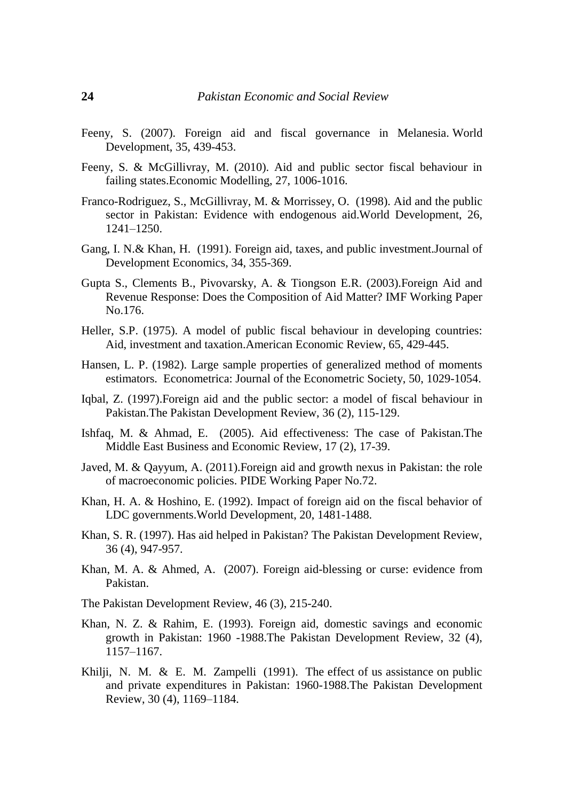- Feeny, S. (2007). Foreign aid and fiscal governance in Melanesia. World Development, 35, 439-453.
- Feeny, S. & McGillivray, M. (2010). Aid and public sector fiscal behaviour in failing states.Economic Modelling, 27, 1006-1016.
- Franco-Rodriguez, S., McGillivray, M. & Morrissey, O. (1998). Aid and the public sector in Pakistan: Evidence with endogenous aid.World Development, 26, 1241–1250.
- Gang, I. N.& Khan, H. (1991). Foreign aid, taxes, and public investment.Journal of Development Economics, 34, 355-369.
- Gupta S., Clements B., Pivovarsky, A. & Tiongson E.R. (2003).Foreign Aid and Revenue Response: Does the Composition of Aid Matter? IMF Working Paper No.176.
- Heller, S.P. (1975). A model of public fiscal behaviour in developing countries: Aid, investment and taxation.American Economic Review, 65, 429-445.
- Hansen, L. P. (1982). Large sample properties of generalized method of moments estimators. Econometrica: Journal of the Econometric Society, 50, 1029-1054.
- Iqbal, Z. (1997).Foreign aid and the public sector: a model of fiscal behaviour in Pakistan.The Pakistan Development Review, 36 (2), 115-129.
- Ishfaq, M. & Ahmad, E. (2005). Aid effectiveness: The case of Pakistan.The Middle East Business and Economic Review, 17 (2), 17-39.
- Javed, M. & Qayyum, A. (2011).Foreign aid and growth nexus in Pakistan: the role of macroeconomic policies. PIDE Working Paper No.72.
- Khan, H. A. & Hoshino, E. (1992). Impact of foreign aid on the fiscal behavior of LDC governments.World Development, 20, 1481-1488.
- Khan, S. R. (1997). Has aid helped in Pakistan? The Pakistan Development Review, 36 (4), 947-957.
- Khan, M. A. & Ahmed, A. (2007). Foreign aid-blessing or curse: evidence from Pakistan.
- The Pakistan Development Review, 46 (3), 215-240.
- Khan, N. Z. & Rahim, E. (1993). Foreign aid, domestic savings and economic growth in Pakistan: 1960 -1988.The Pakistan Development Review, 32 (4), 1157–1167.
- Khilji, N. M. & E. M. Zampelli (1991). The effect of us assistance on public and private expenditures in Pakistan: 1960-1988.The Pakistan Development Review, 30 (4), 1169–1184.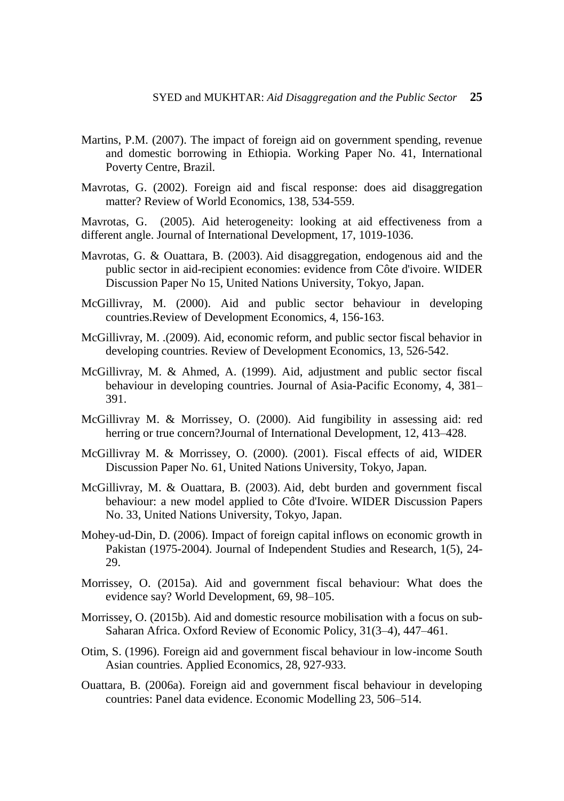- Martins, P.M. (2007). The impact of foreign aid on government spending, revenue and domestic borrowing in Ethiopia. Working Paper No. 41, International Poverty Centre, Brazil.
- Mavrotas, G. (2002). Foreign aid and fiscal response: does aid disaggregation matter? Review of World Economics, 138, 534-559.

Mavrotas, G. (2005). Aid heterogeneity: looking at aid effectiveness from a different angle. Journal of International Development, 17, 1019-1036.

- Mavrotas, G. & Ouattara, B. (2003). Aid disaggregation, endogenous aid and the public sector in aid-recipient economies: evidence from Côte d'ivoire. WIDER Discussion Paper No 15, United Nations University, Tokyo, Japan.
- McGillivray, M. (2000). Aid and public sector behaviour in developing countries.Review of Development Economics, 4, 156-163.
- McGillivray, M. .(2009). Aid, economic reform, and public sector fiscal behavior in developing countries. Review of Development Economics, 13, 526-542.
- McGillivray, M. & Ahmed, A. (1999). Aid, adjustment and public sector fiscal behaviour in developing countries. Journal of Asia-Pacific Economy, 4, 381– 391.
- McGillivray M. & Morrissey, O. (2000). Aid fungibility in assessing aid: red herring or true concern?Journal of International Development, 12, 413–428.
- McGillivray M. & Morrissey, O. (2000). (2001). Fiscal effects of aid, WIDER Discussion Paper No. 61, United Nations University, Tokyo, Japan.
- McGillivray, M. & Ouattara, B. (2003). Aid, debt burden and government fiscal behaviour: a new model applied to Côte d'Ivoire. WIDER Discussion Papers No. 33, United Nations University, Tokyo, Japan.
- Mohey-ud-Din, D. (2006). Impact of foreign capital inflows on economic growth in Pakistan (1975-2004). Journal of Independent Studies and Research, 1(5), 24- 29.
- Morrissey, O. (2015a). Aid and government fiscal behaviour: What does the evidence say? World Development, 69, 98–105.
- Morrissey, O. (2015b). Aid and domestic resource mobilisation with a focus on sub-Saharan Africa. Oxford Review of Economic Policy, 31(3–4), 447–461.
- Otim, S. (1996). Foreign aid and government fiscal behaviour in low-income South Asian countries. Applied Economics, 28, 927-933.
- Ouattara, B. (2006a). Foreign aid and government fiscal behaviour in developing countries: Panel data evidence. Economic Modelling 23, 506–514.